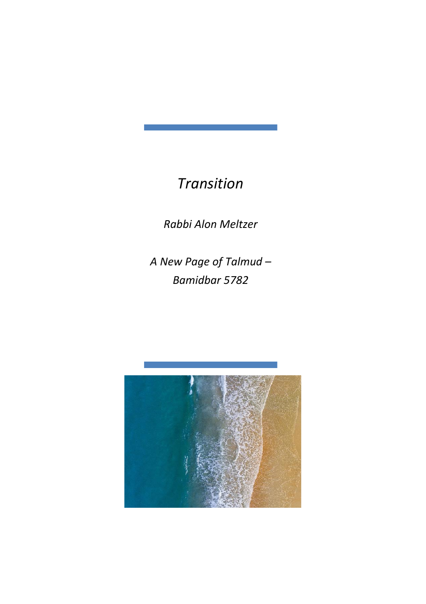## *Transition*

*Rabbi Alon Meltzer*

*A New Page of Talmud – Bamidbar 5782*